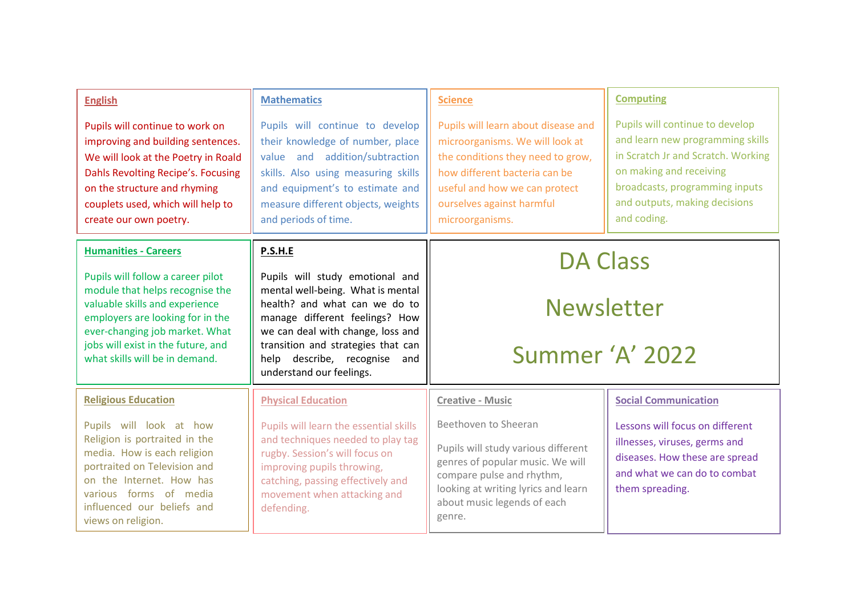| <b>English</b><br>Pupils will continue to work on<br>improving and building sentences.<br>We will look at the Poetry in Roald<br>Dahls Revolting Recipe's. Focusing<br>on the structure and rhyming<br>couplets used, which will help to<br>create our own poetry.                  | <b>Mathematics</b><br>Pupils will continue to develop<br>their knowledge of number, place<br>value and addition/subtraction<br>skills. Also using measuring skills<br>and equipment's to estimate and<br>measure different objects, weights<br>and periods of time.                       | <b>Science</b><br>Pupils will learn about disease and<br>microorganisms. We will look at<br>the conditions they need to grow,<br>how different bacteria can be<br>useful and how we can protect<br>ourselves against harmful<br>microorganisms. | <b>Computing</b><br>Pupils will continue to develop<br>and learn new programming skills<br>in Scratch Jr and Scratch. Working<br>on making and receiving<br>broadcasts, programming inputs<br>and outputs, making decisions<br>and coding. |
|-------------------------------------------------------------------------------------------------------------------------------------------------------------------------------------------------------------------------------------------------------------------------------------|-------------------------------------------------------------------------------------------------------------------------------------------------------------------------------------------------------------------------------------------------------------------------------------------|-------------------------------------------------------------------------------------------------------------------------------------------------------------------------------------------------------------------------------------------------|--------------------------------------------------------------------------------------------------------------------------------------------------------------------------------------------------------------------------------------------|
| <b>Humanities - Careers</b><br>Pupils will follow a career pilot<br>module that helps recognise the<br>valuable skills and experience<br>employers are looking for in the<br>ever-changing job market. What<br>jobs will exist in the future, and<br>what skills will be in demand. | P.S.H.E<br>Pupils will study emotional and<br>mental well-being. What is mental<br>health? and what can we do to<br>manage different feelings? How<br>we can deal with change, loss and<br>transition and strategies that can<br>help describe, recognise and<br>understand our feelings. | <b>DA Class</b><br><b>Newsletter</b><br>Summer 'A' 2022                                                                                                                                                                                         |                                                                                                                                                                                                                                            |
| <b>Religious Education</b><br>Pupils will look at how<br>Religion is portraited in the<br>media. How is each religion<br>portraited on Television and<br>on the Internet. How has<br>various forms of media<br>influenced our beliefs and<br>views on religion.                     | <b>Physical Education</b><br>Pupils will learn the essential skills<br>and techniques needed to play tag<br>rugby. Session's will focus on<br>improving pupils throwing,<br>catching, passing effectively and<br>movement when attacking and<br>defending.                                | <b>Creative - Music</b><br>Beethoven to Sheeran<br>Pupils will study various different<br>genres of popular music. We will<br>compare pulse and rhythm,<br>looking at writing lyrics and learn<br>about music legends of each<br>genre.         | <b>Social Communication</b><br>Lessons will focus on different<br>illnesses, viruses, germs and<br>diseases. How these are spread<br>and what we can do to combat<br>them spreading.                                                       |